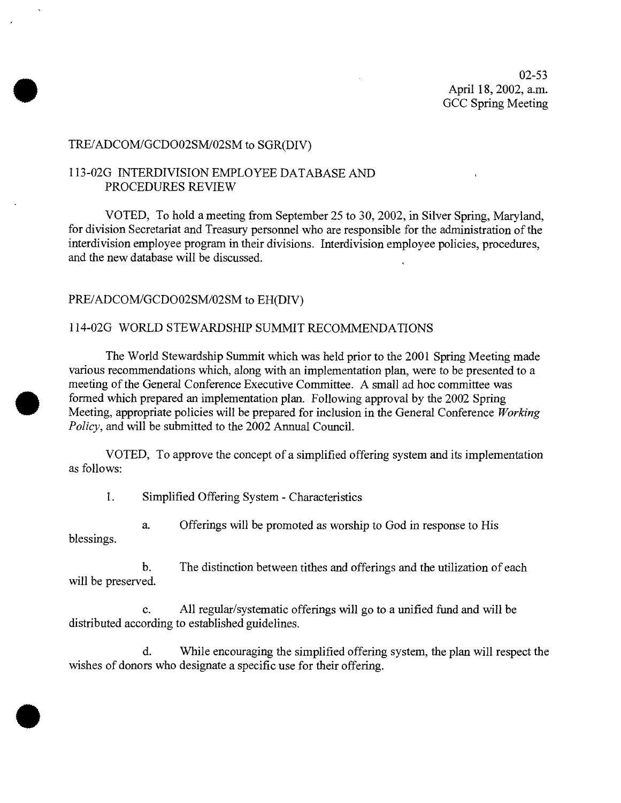02-53 April 18, 2002, a.m. GCC Spring Meeting

## TRE/ADCOM/GCD002SM/02SM to SGR(DIV)

# 113-02G INTERDIVISION EMPLOYEE DATABASE AND PROCEDURES REVIEW

VOTED, To hold a meeting from September 25 to 30, 2002, in Silver Spring, Maryland, for division Secretariat and Treasury personnel who are responsible for the administration of the interdivision employee program in their divisions. Interdivision employee policies, procedures, and the new database will be discussed.

## PRE/ADCOM/GCD002SM/02SM to EH(DIV)

## 114-02G WORLD STEWARDSHIP SUMMIT RECOMMENDATIONS

 $\begin{array}{c} \begin{array}{c} \begin{array}{c} \begin{array}{c} \end{array}\\ \begin{array}{c} \end{array}\\ \begin{array}{c} \end{array}\\ \begin{array}{c} \end{array}\\ \begin{array}{c} \end{array}\\ \begin{array}{c} \end{array}\\ \begin{array}{c} \end{array}\\ \begin{array}{c} \end{array}\\ \begin{array}{c} \end{array}\\ \begin{array}{c} \end{array}\\ \begin{array}{c} \end{array}\\ \begin{array}{c} \end{array}\\ \begin{array}{c} \end{array}\\ \begin{array}{c} \end{array}\\ \begin{array}{c} \end{array}\\ \begin{array}{c} \end{array}\\ \begin{array}{c}$ The World Stewardship Summit which was held prior to the 2001 Spring Meeting made various recommendations which, along with an implementation plan, were to be presented to a meeting of the General Conference Executive Committee. A small ad hoc committee was formed which prepared an implementation plan. Following approval by the 2002 Spring Meeting, appropriate policies will be prepared for inclusion in the General Conference *Working Policy,* and will be submitted to the 2002 Annual Council.

> VOTED, To approve the concept of a simplified offering system and its implementation as follows:

1. Simplified Offering System - Characteristics

a. Offerings will be promoted as worship to God in response to His

blessings.

•

b. The distinction between tithes and offerings and the utilization of each will be preserved.

c. All regular/systematic offerings will go to a unified fund and will be distributed according to established guidelines.

d. While encouraging the simplified offering system, the plan will respect the wishes of donors who designate a specific use for their offering. •<br>●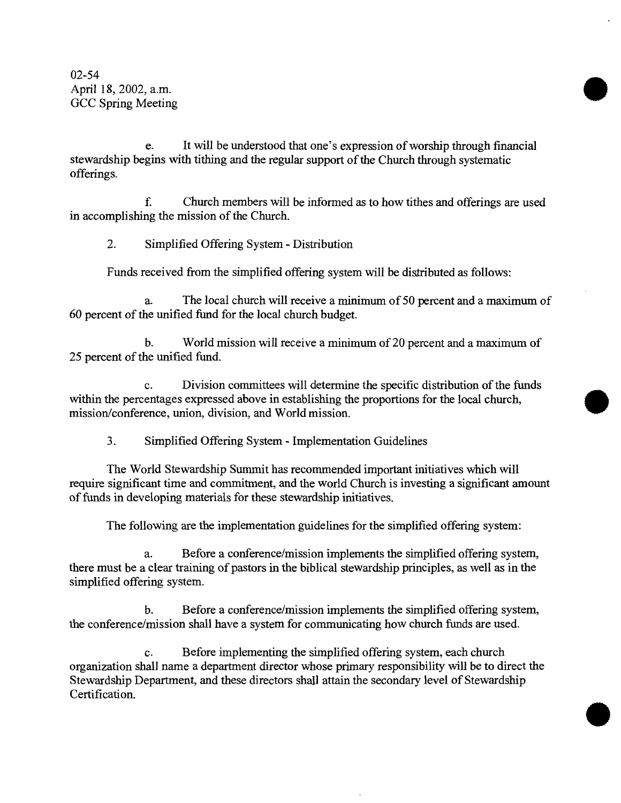02-54 April 18, 2002, a.m. GCC Spring Meeting

e. It will be understood that one's expression of worship through financial stewardship begins with tithing and the regular support of the Church through systematic offerings.

•

•

•

f. Church members will be informed as to how tithes and offerings are used in accomplishing the mission of the Church.

2. Simplified Offering System - Distribution

Funds received from the simplified offering system will be distributed as follows:

a. The local church will receive a minimum of 50 percent and a maximum of 60 percent of the unified fund for the local church budget.

b. World mission will receive a minimum of 20 percent and a maximum of 25 percent of the unified fund.

c. Division committees will determine the specific distribution of the funds within the percentages expressed above in establishing the proportions for the local church, mission/conference, union, division, and World mission.

3. Simplified Offering System - Implementation Guidelines

The World Stewardship Summit has recommended important initiatives which will require significant time and commitment, and the world Church is investing a significant amount of funds in developing materials for these stewardship initiatives.

The following are the implementation guidelines for the simplified offering system:

a. Before a conference/mission implements the simplified offering system, there must be a clear training of pastors in the biblical stewardship principles, as well as in the simplified offering system.

b. Before a conference/mission implements the simplified offering system, the conference/mission shall have a system for communicating how church funds are used.

c. Before implementing the simplified offering system, each church organization shall name a department director whose primary responsibility will be to direct the Stewardship Department, and these directors shall attain the secondary level of Stewardship Certification.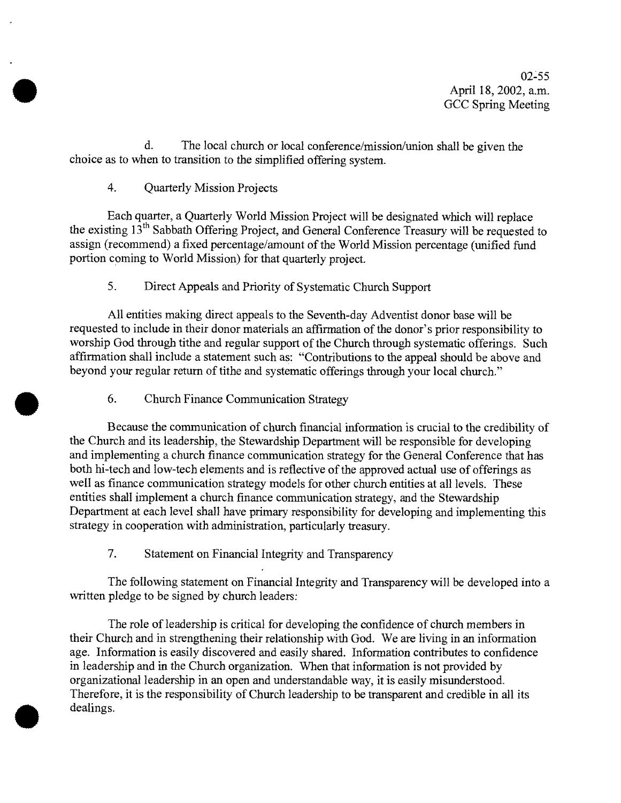02-55 April 18, 2002, a.m. GCC Spring Meeting

d. The local church or local conference/mission/union shall be given the choice as to when to transition to the simplified offering system.

# 4. Quarterly Mission Projects

•

 $\bullet$ 

Each quarter, a Quarterly World Mission Project will be designated which will replace the existing 13<sup>th</sup> Sabbath Offering Project, and General Conference Treasury will be requested to assign (recommend) a fixed percentage/amount of the World Mission percentage (unified fund portion coming to World Mission) for that quarterly project.

5. Direct Appeals and Priority of Systematic Church Support

• All entities making direct appeals to the Seventh-day Adventist donor base will be requested to include in their donor materials an affirmation of the donor's prior responsibility to worship God through tithe and regular support of the Church through systematic offerings. Such affirmation shall include a statement such as: "Contributions to the appeal should be above and beyond your regular return of tithe and systematic offerings through your local church."

6. Church Finance Communication Strategy

Because the communication of church financial information is crucial to the credibility of the Church and its leadership, the Stewardship Department will be responsible for developing and implementing a church finance communication strategy for the General Conference that has both hi-tech and low-tech elements and is reflective of the approved actual use of offerings as well as finance communication strategy models for other church entities at all levels. These entities shall implement a church finance communication strategy, and the Stewardship Department at each level shall have primary responsibility for developing and implementing this strategy in cooperation with administration, particularly treasury.

7. Statement on Financial Integrity and Transparency

The following statement on Financial Integrity and Transparency will be developed into a written pledge to be signed by church leaders:

The role of leadership is critical for developing the confidence of church members in their Church and in strengthening their relationship with God. We are living in an information age. Information is easily discovered and easily shared. Information contributes to confidence in leadership and in the Church organization. When that information is not provided by organizational leadership in an open and understandable way, it is easily misunderstood. Therefore, it is the responsibility of Church leadership to be transparent and credible in all its dealings.